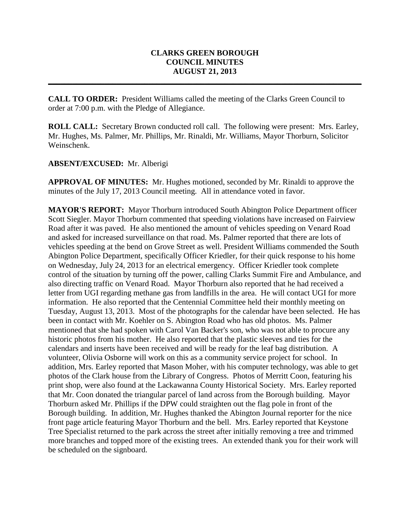## **CLARKS GREEN BOROUGH COUNCIL MINUTES AUGUST 21, 2013**

**\_\_\_\_\_\_\_\_\_\_\_\_\_\_\_\_\_\_\_\_\_\_\_\_\_\_\_\_\_\_\_\_\_\_\_\_\_\_\_\_\_\_\_\_\_\_\_\_\_\_\_\_\_\_\_\_\_\_\_\_\_\_\_\_\_\_\_\_\_\_\_\_\_\_\_\_\_\_**

**CALL TO ORDER:** President Williams called the meeting of the Clarks Green Council to order at 7:00 p.m. with the Pledge of Allegiance.

**ROLL CALL:** Secretary Brown conducted roll call. The following were present: Mrs. Earley, Mr. Hughes, Ms. Palmer, Mr. Phillips, Mr. Rinaldi, Mr. Williams, Mayor Thorburn, Solicitor Weinschenk.

## **ABSENT/EXCUSED:** Mr. Alberigi

**APPROVAL OF MINUTES:** Mr. Hughes motioned, seconded by Mr. Rinaldi to approve the minutes of the July 17, 2013 Council meeting. All in attendance voted in favor.

**MAYOR'S REPORT:** Mayor Thorburn introduced South Abington Police Department officer Scott Siegler. Mayor Thorburn commented that speeding violations have increased on Fairview Road after it was paved. He also mentioned the amount of vehicles speeding on Venard Road and asked for increased surveillance on that road. Ms. Palmer reported that there are lots of vehicles speeding at the bend on Grove Street as well. President Williams commended the South Abington Police Department, specifically Officer Kriedler, for their quick response to his home on Wednesday, July 24, 2013 for an electrical emergency. Officer Kriedler took complete control of the situation by turning off the power, calling Clarks Summit Fire and Ambulance, and also directing traffic on Venard Road. Mayor Thorburn also reported that he had received a letter from UGI regarding methane gas from landfills in the area. He will contact UGI for more information. He also reported that the Centennial Committee held their monthly meeting on Tuesday, August 13, 2013. Most of the photographs for the calendar have been selected. He has been in contact with Mr. Koehler on S. Abington Road who has old photos. Ms. Palmer mentioned that she had spoken with Carol Van Backer's son, who was not able to procure any historic photos from his mother. He also reported that the plastic sleeves and ties for the calendars and inserts have been received and will be ready for the leaf bag distribution. A volunteer, Olivia Osborne will work on this as a community service project for school. In addition, Mrs. Earley reported that Mason Moher, with his computer technology, was able to get photos of the Clark house from the Library of Congress. Photos of Merritt Coon, featuring his print shop, were also found at the Lackawanna County Historical Society. Mrs. Earley reported that Mr. Coon donated the triangular parcel of land across from the Borough building. Mayor Thorburn asked Mr. Phillips if the DPW could straighten out the flag pole in front of the Borough building. In addition, Mr. Hughes thanked the Abington Journal reporter for the nice front page article featuring Mayor Thorburn and the bell. Mrs. Earley reported that Keystone Tree Specialist returned to the park across the street after initially removing a tree and trimmed more branches and topped more of the existing trees. An extended thank you for their work will be scheduled on the signboard.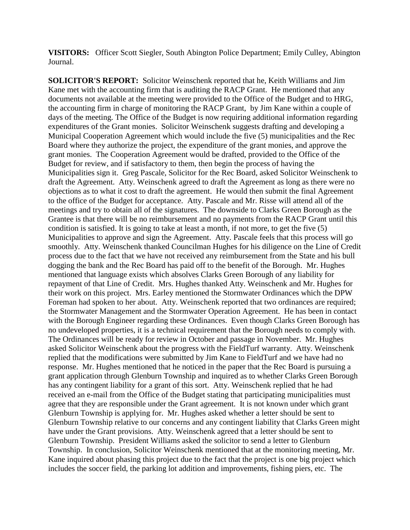**VISITORS:** Officer Scott Siegler, South Abington Police Department; Emily Culley, Abington Journal.

**SOLICITOR'S REPORT:** Solicitor Weinschenk reported that he, Keith Williams and Jim Kane met with the accounting firm that is auditing the RACP Grant. He mentioned that any documents not available at the meeting were provided to the Office of the Budget and to HRG, the accounting firm in charge of monitoring the RACP Grant, by Jim Kane within a couple of days of the meeting. The Office of the Budget is now requiring additional information regarding expenditures of the Grant monies. Solicitor Weinschenk suggests drafting and developing a Municipal Cooperation Agreement which would include the five (5) municipalities and the Rec Board where they authorize the project, the expenditure of the grant monies, and approve the grant monies. The Cooperation Agreement would be drafted, provided to the Office of the Budget for review, and if satisfactory to them, then begin the process of having the Municipalities sign it. Greg Pascale, Solicitor for the Rec Board, asked Solicitor Weinschenk to draft the Agreement. Atty. Weinschenk agreed to draft the Agreement as long as there were no objections as to what it cost to draft the agreement. He would then submit the final Agreement to the office of the Budget for acceptance. Atty. Pascale and Mr. Risse will attend all of the meetings and try to obtain all of the signatures. The downside to Clarks Green Borough as the Grantee is that there will be no reimbursement and no payments from the RACP Grant until this condition is satisfied. It is going to take at least a month, if not more, to get the five (5) Municipalities to approve and sign the Agreement. Atty. Pascale feels that this process will go smoothly. Atty. Weinschenk thanked Councilman Hughes for his diligence on the Line of Credit process due to the fact that we have not received any reimbursement from the State and his bull dogging the bank and the Rec Board has paid off to the benefit of the Borough. Mr. Hughes mentioned that language exists which absolves Clarks Green Borough of any liability for repayment of that Line of Credit. Mrs. Hughes thanked Atty. Weinschenk and Mr. Hughes for their work on this project. Mrs. Earley mentioned the Stormwater Ordinances which the DPW Foreman had spoken to her about. Atty. Weinschenk reported that two ordinances are required; the Stormwater Management and the Stormwater Operation Agreement. He has been in contact with the Borough Engineer regarding these Ordinances. Even though Clarks Green Borough has no undeveloped properties, it is a technical requirement that the Borough needs to comply with. The Ordinances will be ready for review in October and passage in November. Mr. Hughes asked Solicitor Weinschenk about the progress with the FieldTurf warranty. Atty. Weinschenk replied that the modifications were submitted by Jim Kane to FieldTurf and we have had no response. Mr. Hughes mentioned that he noticed in the paper that the Rec Board is pursuing a grant application through Glenburn Township and inquired as to whether Clarks Green Borough has any contingent liability for a grant of this sort. Atty. Weinschenk replied that he had received an e-mail from the Office of the Budget stating that participating municipalities must agree that they are responsible under the Grant agreement. It is not known under which grant Glenburn Township is applying for. Mr. Hughes asked whether a letter should be sent to Glenburn Township relative to our concerns and any contingent liability that Clarks Green might have under the Grant provisions. Atty. Weinschenk agreed that a letter should be sent to Glenburn Township. President Williams asked the solicitor to send a letter to Glenburn Township. In conclusion, Solicitor Weinschenk mentioned that at the monitoring meeting, Mr. Kane inquired about phasing this project due to the fact that the project is one big project which includes the soccer field, the parking lot addition and improvements, fishing piers, etc. The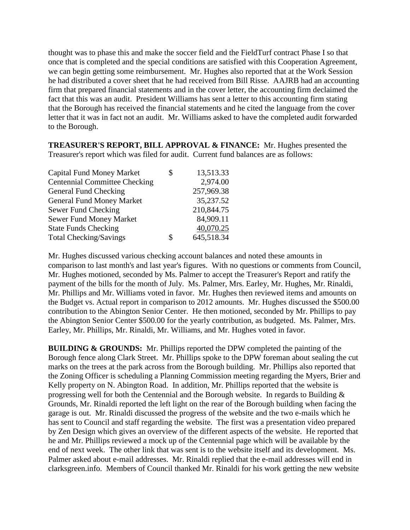thought was to phase this and make the soccer field and the FieldTurf contract Phase I so that once that is completed and the special conditions are satisfied with this Cooperation Agreement, we can begin getting some reimbursement. Mr. Hughes also reported that at the Work Session he had distributed a cover sheet that he had received from Bill Risse. AAJRB had an accounting firm that prepared financial statements and in the cover letter, the accounting firm declaimed the fact that this was an audit. President Williams has sent a letter to this accounting firm stating that the Borough has received the financial statements and he cited the language from the cover letter that it was in fact not an audit. Mr. Williams asked to have the completed audit forwarded to the Borough.

**TREASURER'S REPORT, BILL APPROVAL & FINANCE:** Mr. Hughes presented the Treasurer's report which was filed for audit. Current fund balances are as follows:

| <b>Capital Fund Money Market</b>     | \$<br>13,513.33  |
|--------------------------------------|------------------|
| <b>Centennial Committee Checking</b> | 2,974.00         |
| General Fund Checking                | 257,969.38       |
| <b>General Fund Money Market</b>     | 35,237.52        |
| Sewer Fund Checking                  | 210,844.75       |
| <b>Sewer Fund Money Market</b>       | 84,909.11        |
| <b>State Funds Checking</b>          | 40,070.25        |
| <b>Total Checking/Savings</b>        | \$<br>645,518.34 |

Mr. Hughes discussed various checking account balances and noted these amounts in comparison to last month's and last year's figures. With no questions or comments from Council, Mr. Hughes motioned, seconded by Ms. Palmer to accept the Treasurer's Report and ratify the payment of the bills for the month of July. Ms. Palmer, Mrs. Earley, Mr. Hughes, Mr. Rinaldi, Mr. Phillips and Mr. Williams voted in favor. Mr. Hughes then reviewed items and amounts on the Budget vs. Actual report in comparison to 2012 amounts. Mr. Hughes discussed the \$500.00 contribution to the Abington Senior Center. He then motioned, seconded by Mr. Phillips to pay the Abington Senior Center \$500.00 for the yearly contribution, as budgeted. Ms. Palmer, Mrs. Earley, Mr. Phillips, Mr. Rinaldi, Mr. Williams, and Mr. Hughes voted in favor.

**BUILDING & GROUNDS:** Mr. Phillips reported the DPW completed the painting of the Borough fence along Clark Street. Mr. Phillips spoke to the DPW foreman about sealing the cut marks on the trees at the park across from the Borough building. Mr. Phillips also reported that the Zoning Officer is scheduling a Planning Commission meeting regarding the Myers, Brier and Kelly property on N. Abington Road. In addition, Mr. Phillips reported that the website is progressing well for both the Centennial and the Borough website. In regards to Building & Grounds, Mr. Rinaldi reported the left light on the rear of the Borough building when facing the garage is out. Mr. Rinaldi discussed the progress of the website and the two e-mails which he has sent to Council and staff regarding the website. The first was a presentation video prepared by Zen Design which gives an overview of the different aspects of the website. He reported that he and Mr. Phillips reviewed a mock up of the Centennial page which will be available by the end of next week. The other link that was sent is to the website itself and its development. Ms. Palmer asked about e-mail addresses. Mr. Rinaldi replied that the e-mail addresses will end in clarksgreen.info. Members of Council thanked Mr. Rinaldi for his work getting the new website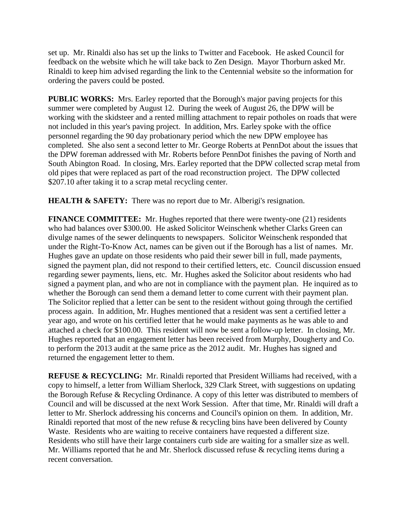set up. Mr. Rinaldi also has set up the links to Twitter and Facebook. He asked Council for feedback on the website which he will take back to Zen Design. Mayor Thorburn asked Mr. Rinaldi to keep him advised regarding the link to the Centennial website so the information for ordering the pavers could be posted.

**PUBLIC WORKS:** Mrs. Earley reported that the Borough's major paving projects for this summer were completed by August 12. During the week of August 26, the DPW will be working with the skidsteer and a rented milling attachment to repair potholes on roads that were not included in this year's paving project. In addition, Mrs. Earley spoke with the office personnel regarding the 90 day probationary period which the new DPW employee has completed. She also sent a second letter to Mr. George Roberts at PennDot about the issues that the DPW foreman addressed with Mr. Roberts before PennDot finishes the paving of North and South Abington Road. In closing, Mrs. Earley reported that the DPW collected scrap metal from old pipes that were replaced as part of the road reconstruction project. The DPW collected \$207.10 after taking it to a scrap metal recycling center.

**HEALTH & SAFETY:** There was no report due to Mr. Alberigi's resignation.

**FINANCE COMMITTEE:** Mr. Hughes reported that there were twenty-one (21) residents who had balances over \$300.00. He asked Solicitor Weinschenk whether Clarks Green can divulge names of the sewer delinquents to newspapers. Solicitor Weinschenk responded that under the Right-To-Know Act, names can be given out if the Borough has a list of names. Mr. Hughes gave an update on those residents who paid their sewer bill in full, made payments, signed the payment plan, did not respond to their certified letters, etc. Council discussion ensued regarding sewer payments, liens, etc. Mr. Hughes asked the Solicitor about residents who had signed a payment plan, and who are not in compliance with the payment plan. He inquired as to whether the Borough can send them a demand letter to come current with their payment plan. The Solicitor replied that a letter can be sent to the resident without going through the certified process again. In addition, Mr. Hughes mentioned that a resident was sent a certified letter a year ago, and wrote on his certified letter that he would make payments as he was able to and attached a check for \$100.00. This resident will now be sent a follow-up letter. In closing, Mr. Hughes reported that an engagement letter has been received from Murphy, Dougherty and Co. to perform the 2013 audit at the same price as the 2012 audit. Mr. Hughes has signed and returned the engagement letter to them.

**REFUSE & RECYCLING:** Mr. Rinaldi reported that President Williams had received, with a copy to himself, a letter from William Sherlock, 329 Clark Street, with suggestions on updating the Borough Refuse & Recycling Ordinance. A copy of this letter was distributed to members of Council and will be discussed at the next Work Session. After that time, Mr. Rinaldi will draft a letter to Mr. Sherlock addressing his concerns and Council's opinion on them. In addition, Mr. Rinaldi reported that most of the new refuse & recycling bins have been delivered by County Waste. Residents who are waiting to receive containers have requested a different size. Residents who still have their large containers curb side are waiting for a smaller size as well. Mr. Williams reported that he and Mr. Sherlock discussed refuse & recycling items during a recent conversation.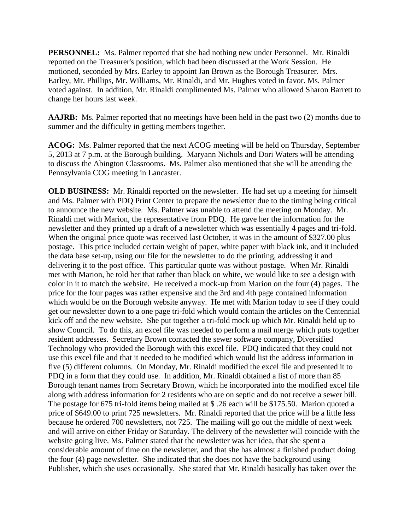**PERSONNEL:** Ms. Palmer reported that she had nothing new under Personnel. Mr. Rinaldi reported on the Treasurer's position, which had been discussed at the Work Session. He motioned, seconded by Mrs. Earley to appoint Jan Brown as the Borough Treasurer. Mrs. Earley, Mr. Phillips, Mr. Williams, Mr. Rinaldi, and Mr. Hughes voted in favor. Ms. Palmer voted against. In addition, Mr. Rinaldi complimented Ms. Palmer who allowed Sharon Barrett to change her hours last week.

**AAJRB:** Ms. Palmer reported that no meetings have been held in the past two (2) months due to summer and the difficulty in getting members together.

**ACOG:** Ms. Palmer reported that the next ACOG meeting will be held on Thursday, September 5, 2013 at 7 p.m. at the Borough building. Maryann Nichols and Dori Waters will be attending to discuss the Abington Classrooms. Ms. Palmer also mentioned that she will be attending the Pennsylvania COG meeting in Lancaster.

**OLD BUSINESS:** Mr. Rinaldi reported on the newsletter. He had set up a meeting for himself and Ms. Palmer with PDQ Print Center to prepare the newsletter due to the timing being critical to announce the new website. Ms. Palmer was unable to attend the meeting on Monday. Mr. Rinaldi met with Marion, the representative from PDQ. He gave her the information for the newsletter and they printed up a draft of a newsletter which was essentially 4 pages and tri-fold. When the original price quote was received last October, it was in the amount of \$327.00 plus postage. This price included certain weight of paper, white paper with black ink, and it included the data base set-up, using our file for the newsletter to do the printing, addressing it and delivering it to the post office. This particular quote was without postage. When Mr. Rinaldi met with Marion, he told her that rather than black on white, we would like to see a design with color in it to match the website. He received a mock-up from Marion on the four (4) pages. The price for the four pages was rather expensive and the 3rd and 4th page contained information which would be on the Borough website anyway. He met with Marion today to see if they could get our newsletter down to a one page tri-fold which would contain the articles on the Centennial kick off and the new website. She put together a tri-fold mock up which Mr. Rinaldi held up to show Council. To do this, an excel file was needed to perform a mail merge which puts together resident addresses. Secretary Brown contacted the sewer software company, Diversified Technology who provided the Borough with this excel file. PDQ indicated that they could not use this excel file and that it needed to be modified which would list the address information in five (5) different columns. On Monday, Mr. Rinaldi modified the excel file and presented it to PDQ in a form that they could use. In addition, Mr. Rinaldi obtained a list of more than 85 Borough tenant names from Secretary Brown, which he incorporated into the modified excel file along with address information for 2 residents who are on septic and do not receive a sewer bill. The postage for 675 tri-fold items being mailed at \$ .26 each will be \$175.50. Marion quoted a price of \$649.00 to print 725 newsletters. Mr. Rinaldi reported that the price will be a little less because he ordered 700 newsletters, not 725. The mailing will go out the middle of next week and will arrive on either Friday or Saturday. The delivery of the newsletter will coincide with the website going live. Ms. Palmer stated that the newsletter was her idea, that she spent a considerable amount of time on the newsletter, and that she has almost a finished product doing the four (4) page newsletter. She indicated that she does not have the background using Publisher, which she uses occasionally. She stated that Mr. Rinaldi basically has taken over the